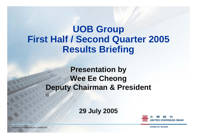**UOB Group First Half / Second Quarter 2005 Results Briefing**

> **Presentation by Wee Ee Cheong Deputy Chairman & President**

> > **29 July 2005**



**United for Growth**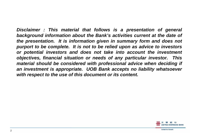*Disclaimer : This material that follows is a presentation of general background information about the Bank's activities current at the date of the presentation. It is information given in summary form and does not purport to be complete. It is not to be relied upon as advice to investors or potential investors and does not take into account the investment objectives, financial situation or needs of any particular investor. This material should be considered with professional advice when deciding if an investment is appropriate. UOB Bank accepts no liability whatsoever with respect to the use of this document or its content.*

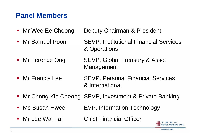#### **Panel Members**

- $\mathcal{L}_{\text{max}}$ Mr Wee Ee Cheong Deputy Chairman & President
- **Mr Samuel Poon**  SEVP, Institutional Financial Services & Operations
- Mr Terence Ong SEVP, Global Treasury & Asset Management
- Mr Francis Lee SEVP, Personal Financial Services & International
- Mr Chong Kie Cheong SEVP, Investment & Private Banking
- Ms Susan HweeEVP, Information Technology
- Mr Lee Wai Fai **Chief Financial Officer**

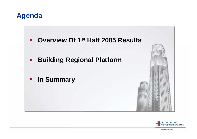#### **Agenda**

- **Overview Of 1st Half 2005 Results**
- **Building Regional Platform**
- **In Summary**



**United for Growth**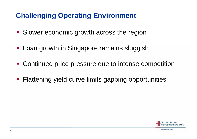# **Challenging Operating Environment**

- **Slower economic growth across the region**
- **Loan growth in Singapore remains sluggish**
- **Continued price pressure due to intense competition**
- **Flattening yield curve limits gapping opportunities**

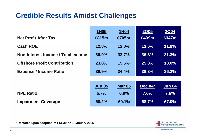#### **Credible Results Amidst Challenges**

| <b>Net Profit After Tax</b>         | <b>1H05</b><br>\$815m | <b>1H04</b><br>\$705m | <b>2Q05</b><br>\$409m | <b>2Q04</b><br>\$347m |
|-------------------------------------|-----------------------|-----------------------|-----------------------|-----------------------|
| <b>Cash ROE</b>                     | 12.8%                 | 12.0%                 | 13.6%                 | 11.9%                 |
| Non-Interest Income / Total Income  | 36.0%                 | 33.7%                 | 36.8%                 | 31.3%                 |
| <b>Offshore Profit Contribution</b> | <b>23.8%</b>          | 19.5%                 | 25.8%                 | 18.0%                 |
| <b>Expense / Income Ratio</b>       | 36.9%                 | 34.4%                 | 38.3%                 | 36.2%                 |
|                                     |                       |                       |                       |                       |
|                                     | <b>Jun 05</b>         | <b>Mar 05</b>         | Dec $\overline{04}^*$ | <b>Jun 04</b>         |
| <b>NPL Ratio</b>                    | 6.7%                  | 6.9%                  | 7.6%                  | 7.6%                  |
| <b>Impairment Coverage</b>          | 68.2%                 | 69.1%                 | 68.7%                 | 67.0%                 |



**\* Restated upon adoption of FRS39 on 1 January 2005**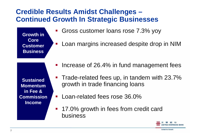#### **Credible Results Amidst Challenges – Continued Growth In Strategic Businesses**

**Growth in Core Customer Business**

- Gross customer loans rose 7.3% yoy
- Loan margins increased despite drop in NIM

**Sustained Momentum in Fee & Commission Income**

- Increase of 26.4% in fund management fees
- **Trade-related fees up, in tandem with 23.7%** growth in trade financing loans
- **Loan-related fees rose 36.0%**
- 17.0% growth in fees from credit card business

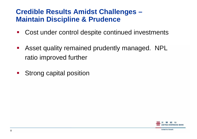#### **Credible Results Amidst Challenges – Maintain Discipline & Prudence**

- $\mathbb{R}^3$ Cost under control despite continued investments
- Asset quality remained prudently managed. NPL ratio improved further
- **Strong capital position**

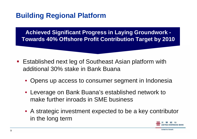## **Building Regional Platform**

**Achieved Significant Progress in Laying Groundwork - Towards 40% Offshore Profit Contribution Target by 2010**

- Established next leg of Southeast Asian platform with additional 30% stake in Bank Buana
	- Opens up access to consumer segment in Indonesia
	- Leverage on Bank Buana's established network to make further inroads in SME business
	- A strategic investment expected to be a key contributor in the long term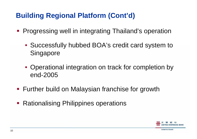## **Building Regional Platform (Cont'd)**

- **Progressing well in integrating Thailand's operation** 
	- Successfully hubbed BOA's credit card system to **Singapore**
	- Operational integration on track for completion by end-2005
- **Further build on Malaysian franchise for growth**
- **Rationalising Philippines operations**

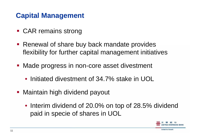### **Capital Management**

- **CAR remains strong**
- **Renewal of share buy back mandate provides** flexibility for further capital management initiatives
- **Made progress in non-core asset divestment** 
	- Initiated divestment of 34.7% stake in UOL
- **Maintain high dividend payout** 
	- Interim dividend of 20.0% on top of 28.5% dividend paid in specie of shares in UOL

**United for Growth** 

11